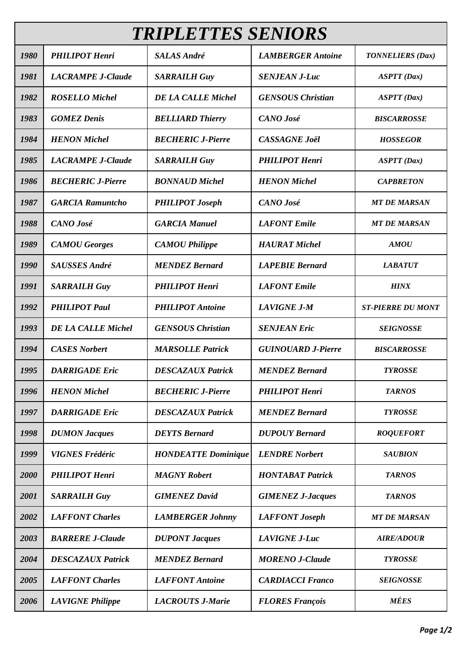| <b>TRIPLETTES SENIORS</b> |                           |                            |                           |                          |  |  |  |
|---------------------------|---------------------------|----------------------------|---------------------------|--------------------------|--|--|--|
| 1980                      | <b>PHILIPOT Henri</b>     | <b>SALAS André</b>         | <b>LAMBERGER Antoine</b>  | <b>TONNELIERS</b> (Dax)  |  |  |  |
| 1981                      | <b>LACRAMPE J-Claude</b>  | <b>SARRAILH Guy</b>        | <b>SENJEAN J-Luc</b>      | <b>ASPTT</b> (Dax)       |  |  |  |
| 1982                      | <b>ROSELLO Michel</b>     | <b>DE LA CALLE Michel</b>  | <b>GENSOUS Christian</b>  | <b>ASPTT</b> (Dax)       |  |  |  |
| 1983                      | <b>GOMEZ Denis</b>        | <b>BELLIARD Thierry</b>    | <b>CANO</b> José          | <b>BISCARROSSE</b>       |  |  |  |
| 1984                      | <b>HENON</b> Michel       | <b>BECHERIC J-Pierre</b>   | <b>CASSAGNE Joël</b>      | <b>HOSSEGOR</b>          |  |  |  |
| 1985                      | <b>LACRAMPE J-Claude</b>  | <b>SARRAILH Guy</b>        | <b>PHILIPOT Henri</b>     | <b>ASPTT</b> (Dax)       |  |  |  |
| 1986                      | <b>BECHERIC J-Pierre</b>  | <b>BONNAUD Michel</b>      | <b>HENON</b> Michel       | <b>CAPBRETON</b>         |  |  |  |
| 1987                      | <b>GARCIA Ramuntcho</b>   | <b>PHILIPOT Joseph</b>     | <b>CANO</b> José          | <b>MT DE MARSAN</b>      |  |  |  |
| 1988                      | CANO José                 | <b>GARCIA Manuel</b>       | <b>LAFONT</b> Emile       | <b>MT DE MARSAN</b>      |  |  |  |
| 1989                      | <b>CAMOU</b> Georges      | <b>CAMOU Philippe</b>      | <b>HAURAT</b> Michel      | <b>AMOU</b>              |  |  |  |
| 1990                      | <b>SAUSSES André</b>      | <b>MENDEZ Bernard</b>      | <b>LAPEBIE Bernard</b>    | <b>LABATUT</b>           |  |  |  |
| 1991                      | <b>SARRAILH Guy</b>       | <b>PHILIPOT Henri</b>      | <b>LAFONT</b> Emile       | <b>HINX</b>              |  |  |  |
| 1992                      | <b>PHILIPOT Paul</b>      | <b>PHILIPOT</b> Antoine    | <b>LAVIGNE J-M</b>        | <b>ST-PIERRE DU MONT</b> |  |  |  |
| 1993                      | <b>DE LA CALLE Michel</b> | <b>GENSOUS Christian</b>   | <b>SENJEAN Eric</b>       | <b>SEIGNOSSE</b>         |  |  |  |
| 1994                      | <b>CASES</b> Norbert      | <b>MARSOLLE Patrick</b>    | <b>GUINOUARD J-Pierre</b> | <b>BISCARROSSE</b>       |  |  |  |
| 1995                      | <b>DARRIGADE Eric</b>     | <b>DESCAZAUX Patrick</b>   | <b>MENDEZ Bernard</b>     | <b>TYROSSE</b>           |  |  |  |
| 1996                      | <b>HENON</b> Michel       | <b>BECHERIC J-Pierre</b>   | <b>PHILIPOT Henri</b>     | <b>TARNOS</b>            |  |  |  |
| 1997                      | <b>DARRIGADE Eric</b>     | <b>DESCAZAUX Patrick</b>   | <b>MENDEZ Bernard</b>     | <b>TYROSSE</b>           |  |  |  |
| 1998                      | <b>DUMON Jacques</b>      | <b>DEYTS</b> Bernard       | <b>DUPOUY Bernard</b>     | <b>ROQUEFORT</b>         |  |  |  |
| 1999                      | <b>VIGNES Frédéric</b>    | <b>HONDEATTE Dominique</b> | <b>LENDRE Norbert</b>     | <b>SAUBION</b>           |  |  |  |
| 2000                      | <b>PHILIPOT Henri</b>     | <b>MAGNY</b> Robert        | <b>HONTABAT Patrick</b>   | <b>TARNOS</b>            |  |  |  |
| 2001                      | <b>SARRAILH Guy</b>       | <b>GIMENEZ David</b>       | <b>GIMENEZ J-Jacques</b>  | <b>TARNOS</b>            |  |  |  |
| 2002                      | <b>LAFFONT Charles</b>    | <b>LAMBERGER Johnny</b>    | <b>LAFFONT</b> Joseph     | <b>MT DE MARSAN</b>      |  |  |  |
| 2003                      | <b>BARRERE J-Claude</b>   | <b>DUPONT Jacques</b>      | <b>LAVIGNE J-Luc</b>      | <b>AIRE/ADOUR</b>        |  |  |  |
| 2004                      | <b>DESCAZAUX Patrick</b>  | <b>MENDEZ Bernard</b>      | <b>MORENO J-Claude</b>    | <b>TYROSSE</b>           |  |  |  |
| 2005                      | <b>LAFFONT Charles</b>    | <b>LAFFONT</b> Antoine     | <b>CARDIACCI Franco</b>   | <b>SEIGNOSSE</b>         |  |  |  |
| 2006                      | <b>LAVIGNE Philippe</b>   | <b>LACROUTS J-Marie</b>    | <b>FLORES François</b>    | <b>MÉES</b>              |  |  |  |